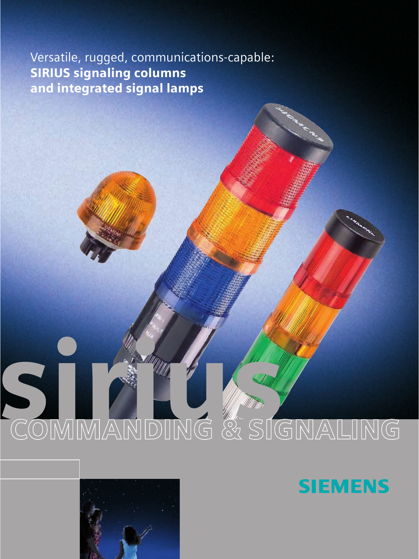Versatile, rugged, communications-capable: SIRIUS signaling columns and integrated signal lamps

# SOMMANDING & SIGNALING



**SIEMENS**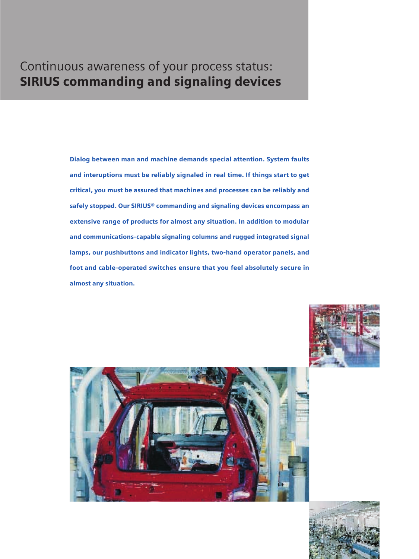# Continuous awareness of your process status: SIRIUS commanding and signaling devices

Dialog between man and machine demands special attention. System faults and interuptions must be reliably signaled in real time. If things start to get critical, you must be assured that machines and processes can be reliably and safely stopped. Our SIRIUS® commanding and signaling devices encompass an extensive range of products for almost any situation. In addition to modular and communications-capable signaling columns and rugged integrated signal lamps, our pushbuttons and indicator lights, two-hand operator panels, and foot and cable-operated switches ensure that you feel absolutely secure in almost any situation.





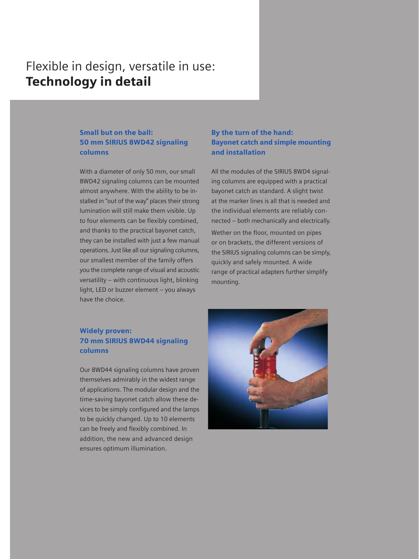# Flexible in design, versatile in use: Technology in detail

## Small but on the ball: 50 mm SIRIUS 8WD42 signaling columns

With a diameter of only 50 mm, our small 8WD42 signaling columns can be mounted almost anywhere. With the ability to be installed in "out of the way" places their strong lumination will still make them visible. Up to four elements can be flexibly combined, and thanks to the practical bayonet catch, they can be installed with just a few manual operations. Just like all our signaling columns, our smallest member of the family offers you the complete range of visual and acoustic versatility – with continuous light, blinking light, LED or buzzer element – you always have the choice.

## By the turn of the hand: Bayonet catch and simple mounting and installation

All the modules of the SIRIUS 8WD4 signaling columns are equipped with a practical bayonet catch as standard. A slight twist at the marker lines is all that is needed and the individual elements are reliably connected – both mechanically and electrically.

Wether on the floor, mounted on pipes or on brackets, the different versions of the SIRIUS signaling columns can be simply, quickly and safely mounted. A wide range of practical adapters further simplify mounting.

## Widely proven: 70 mm SIRIUS 8WD44 signaling columns

Our 8WD44 signaling columns have proven themselves admirably in the widest range of applications. The modular design and the time-saving bayonet catch allow these devices to be simply configured and the lamps to be quickly changed. Up to 10 elements can be freely and flexibly combined. In addition, the new and advanced design ensures optimum illumination.

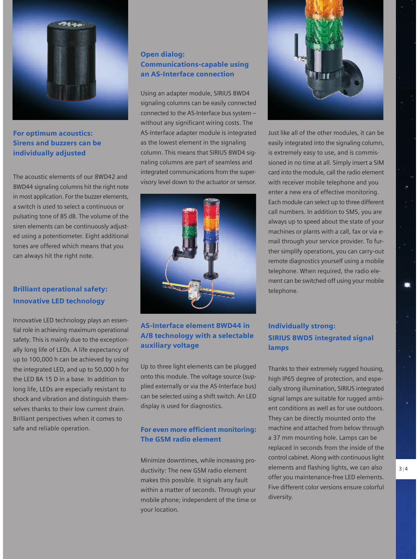

# For optimum acoustics: Sirens and buzzers can be individually adjusted

The acoustic elements of our 8WD42 and 8WD44 signaling columns hit the right note in most application. For the buzzer elements, a switch is used to select a continuous or pulsating tone of 85 dB. The volume of the siren elements can be continuously adjusted using a potentiometer. Eight additional tones are offered which means that you can always hit the right note.

# Brilliant operational safety: Innovative LED technology

Innovative LED technology plays an essential role in achieving maximum operational safety. This is mainly due to the exceptionally long life of LEDs. A life expectancy of up to 100,000 h can be achieved by using the integrated LED, and up to 50,000 h for the LED BA 15 D in a base. In addition to long life, LEDs are especially resistant to shock and vibration and distinguish themselves thanks to their low current drain. Brilliant perspectives when it comes to safe and reliable operation.

## Open dialog: Communications-capable using an AS-Interface connection

Using an adapter module, SIRIUS 8WD4 signaling columns can be easily connected connected to the AS-Interface bus system – without any significant wiring costs. The AS-Interface adapter module is integrated as the lowest element in the signaling column. This means that SIRIUS 8WD4 signaling columns are part of seamless and integrated communications from the supervisory level down to the actuator or sensor.



# AS-Interface element 8WD44 in A/B technology with a selectable auxiliary voltage

Up to three light elements can be plugged onto this module. The voltage source (supplied externally or via the AS-Interface bus) can be selected using a shift switch. An LED display is used for diagnostics.

## For even more efficient monitoring: The GSM radio element

Minimize downtimes, while increasing productivity: The new GSM radio element makes this possible. It signals any fault within a matter of seconds. Through your mobile phone; independent of the time or your location.



Just like all of the other modules, it can be easily integrated into the signaling column, is extremely easy to use, and is commissioned in no time at all. Simply insert a SIM card into the module, call the radio element with receiver mobile telephone and you enter a new era of effective monitoring. Each module can select up to three different call numbers. In addition to SMS, you are always up to speed about the state of your machines or plants with a call, fax or via email through your service provider. To further simplify operations, you can carry-out remote diagnostics yourself using a mobile telephone. When required, the radio element can be switched-off using your mobile telephone.

# Individually strong: SIRIUS 8WD5 integrated signal lamps

Thanks to their extremely rugged housing, high IP65 degree of protection, and especially strong illumination, SIRIUS integrated signal lamps are suitable for rugged ambient conditions as well as for use outdoors. They can be directly mounted onto the machine and attached from below through a 37 mm mounting hole. Lamps can be replaced in seconds from the inside of the control cabinet. Along with continuous light elements and flashing lights, we can also offer you maintenance-free LED elements. Five different color versions ensure colorful diversity.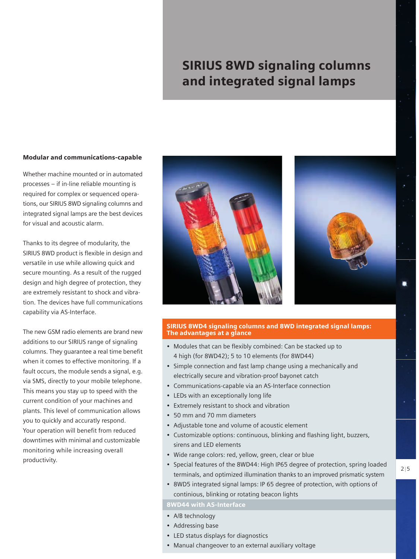# SIRIUS 8WD signaling columns and integrated signal lamps

#### Modular and communications-capable

Whether machine mounted or in automated processes – if in-line reliable mounting is required for complex or sequenced operations, our SIRIUS 8WD signaling columns and integrated signal lamps are the best devices for visual and acoustic alarm.

Thanks to its degree of modularity, the SIRIUS 8WD product is flexible in design and versatile in use while allowing quick and secure mounting. As a result of the rugged design and high degree of protection, they are extremely resistant to shock and vibration. The devices have full communications capability via AS-Interface.

The new GSM radio elements are brand new additions to our SIRIUS range of signaling columns. They guarantee a real time benefit when it comes to effective monitoring. If a fault occurs, the module sends a signal, e.g. via SMS, directly to your mobile telephone. This means you stay up to speed with the current condition of your machines and plants. This level of communication allows you to quickly and accuratly respond. Your operation will benefit from reduced downtimes with minimal and customizable monitoring while increasing overall productivity.





#### SIRIUS 8WD4 signaling columns and 8WD integrated signal lamps: The advantages at a glance

- Modules that can be flexibly combined: Can be stacked up to 4 high (for 8WD42); 5 to 10 elements (for 8WD44)
- Simple connection and fast lamp change using a mechanically and electrically secure and vibration-proof bayonet catch
- Communications-capable via an AS-Interface connection
- LEDs with an exceptionally long life
- Extremely resistant to shock and vibration
- 50 mm and 70 mm diameters
- Adjustable tone and volume of acoustic element
- Customizable options: continuous, blinking and flashing light, buzzers, sirens and LED elements
- Wide range colors: red, yellow, green, clear or blue
- Special features of the 8WD44: High IP65 degree of protection, spring loaded terminals, and optimized illumination thanks to an improved prismatic system
- 8WD5 integrated signal lamps: IP 65 degree of protection, with options of continious, blinking or rotating beacon lights

#### 8WD44 with AS-Interface

- A/B technology
- Addressing base
- LED status displays for diagnostics
- Manual changeover to an external auxiliary voltage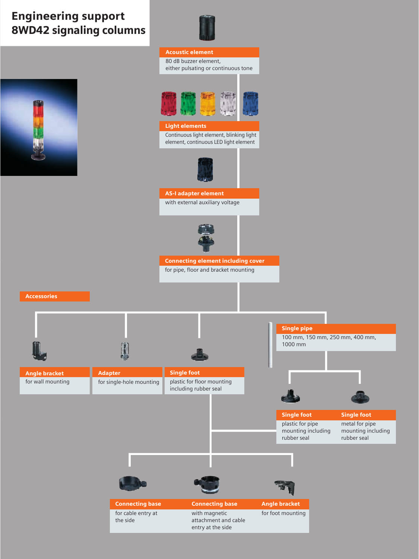# Engineering support 8WD42 signaling columns



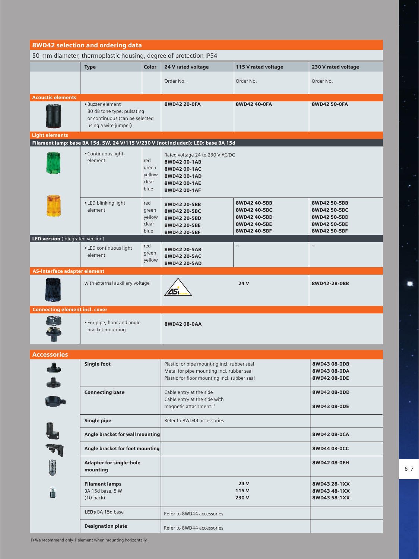| <b>8WD42 selection and ordering data</b> |                                                                                                          |                                         |                                                                                                                                          |                                                                              |                                                                              |
|------------------------------------------|----------------------------------------------------------------------------------------------------------|-----------------------------------------|------------------------------------------------------------------------------------------------------------------------------------------|------------------------------------------------------------------------------|------------------------------------------------------------------------------|
|                                          | 50 mm diameter, thermoplastic housing, degree of protection IP54                                         |                                         |                                                                                                                                          |                                                                              |                                                                              |
|                                          | <b>Type</b>                                                                                              | <b>Color</b>                            | 24 V rated voltage                                                                                                                       | 115 V rated voltage                                                          | 230 V rated voltage                                                          |
|                                          |                                                                                                          |                                         | Order No.                                                                                                                                | Order No.                                                                    | Order No.                                                                    |
| <b>Acoustic elements</b>                 | · Buzzer element<br>80 dB tone type: pulsating<br>or continuous (can be selected<br>using a wire jumper) |                                         | 8WD42 20-0FA                                                                                                                             | 8WD42 40-0FA                                                                 | 8WD42 50-0FA                                                                 |
| <b>Light elements</b>                    |                                                                                                          |                                         | Filament lamp: base BA 15d, 5W, 24 V/115 V/230 V (not included); LED: base BA 15d                                                        |                                                                              |                                                                              |
|                                          | • Continuous light<br>element                                                                            | red<br>green<br>yellow<br>clear<br>blue | Rated voltage 24 to 230 V AC/DC<br>8WD42 00-1AB<br>8WD42 00-1AC<br>8WD42 00-1AD<br>8WD42 00-1AE<br>8WD42 00-1AF                          |                                                                              |                                                                              |
|                                          | • LED blinking light<br>element                                                                          | red<br>green<br>yellow<br>clear<br>blue | 8WD42 20-5BB<br>8WD42 20-5BC<br>8WD42 20-5BD<br>8WD42 20-5BE<br>8WD42 20-5BF                                                             | 8WD42 40-5BB<br>8WD42 40-5BC<br>8WD42 40-5BD<br>8WD42 40-5BE<br>8WD42 40-5BF | 8WD42 50-5BB<br>8WD42 50-5BC<br>8WD42 50-5BD<br>8WD42 50-5BE<br>8WD42 50-5BF |
| LED version (integrated version)         |                                                                                                          |                                         |                                                                                                                                          |                                                                              |                                                                              |
|                                          | • LED continuous light<br>element                                                                        | red<br>green<br>yellow                  | 8WD42 20-5AB<br>8WD42 20-5AC<br>8WD42 20-5AD                                                                                             | $\qquad \qquad -$                                                            | $\overline{\phantom{0}}$                                                     |
| <b>AS-Interface adapter element</b>      |                                                                                                          |                                         |                                                                                                                                          |                                                                              |                                                                              |
|                                          | with external auxiliary voltage                                                                          |                                         | <u>/25,</u>                                                                                                                              | 24 V                                                                         | 8WD42-28-0BB                                                                 |
| <b>Connecting element incl. cover</b>    |                                                                                                          |                                         |                                                                                                                                          |                                                                              |                                                                              |
|                                          | • For pipe, floor and angle<br>bracket mounting                                                          |                                         | 8WD42 08-0AA                                                                                                                             |                                                                              |                                                                              |
| Accessories                              |                                                                                                          |                                         |                                                                                                                                          |                                                                              |                                                                              |
| ل له<br>په                               | <b>Single foot</b>                                                                                       |                                         | Plastic for pipe mounting incl. rubber seal<br>Metal for pipe mounting incl. rubber seal<br>Plastic for floor mounting incl. rubber seal |                                                                              | 8WD43 08-0DB<br>8WD43 08-0DA<br>8WD42 08-0DE                                 |
|                                          | <b>Connecting base</b>                                                                                   |                                         | Cable entry at the side<br>Cable entry at the side with<br>magnetic attachment <sup>1)</sup>                                             |                                                                              | 8WD43 08-0DD<br>8WD43 08-0DE                                                 |
|                                          | <b>Single pipe</b>                                                                                       |                                         | Refer to 8WD44 accessories                                                                                                               |                                                                              |                                                                              |
| L                                        | Angle bracket for wall mounting                                                                          |                                         |                                                                                                                                          |                                                                              | 8WD42 08-0CA                                                                 |
| $\mathbb{F}$                             | Angle bracket for foot mounting                                                                          |                                         |                                                                                                                                          |                                                                              | 8WD44 03-0CC                                                                 |
| Q                                        | <b>Adapter for single-hole</b><br>mounting                                                               |                                         |                                                                                                                                          |                                                                              | 8WD42 08-0EH                                                                 |
| ñ                                        | <b>Filament lamps</b><br>BA 15d base, 5 W<br>$(10-pack)$                                                 |                                         | 24 V<br>115V<br>230V                                                                                                                     |                                                                              | 8WD43 28-1XX<br>8WD43 48-1XX<br>8WD43 58-1XX                                 |
|                                          | LEDs BA 15d base                                                                                         |                                         | Refer to 8WD44 accessories                                                                                                               |                                                                              |                                                                              |
|                                          | <b>Designation plate</b>                                                                                 |                                         | Refer to 8WD44 accessories                                                                                                               |                                                                              |                                                                              |

۰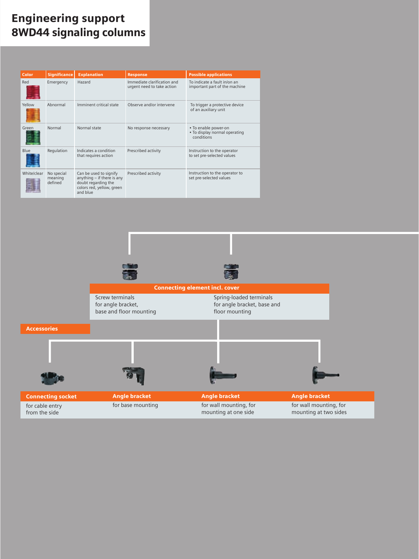# Engineering support 8WD44 signaling columns

| Color       | <b>Significance</b>              | <b>Explanation</b>                                                                                                   | <b>Response</b>                                           | <b>Possible applications</b>                                        |
|-------------|----------------------------------|----------------------------------------------------------------------------------------------------------------------|-----------------------------------------------------------|---------------------------------------------------------------------|
| Red         | Emergency                        | Hazard                                                                                                               | Immediate clarification and<br>urgent need to take action | To indicate a fault in/on an<br>important part of the machine       |
| Yellow      | Abnormal                         | Imminent critical state                                                                                              | Observe and/or intervene                                  | To trigger a protective device<br>of an auxiliary unit              |
| Green       | Normal                           | Normal state                                                                                                         | No response necessary                                     | • To enable power-on<br>. To display normal operating<br>conditions |
| Blue        | Regulation                       | Indicates a condition<br>that requires action                                                                        | Prescribed activity                                       | Instruction to the operator<br>to set pre-selected values           |
| White/clear | No special<br>meaning<br>defined | Can be used to signify<br>anything - if there is any<br>doubt regarding the<br>colors red, yellow, green<br>and blue | Prescribed activity                                       | Instruction to the operator to<br>set pre-selected values           |

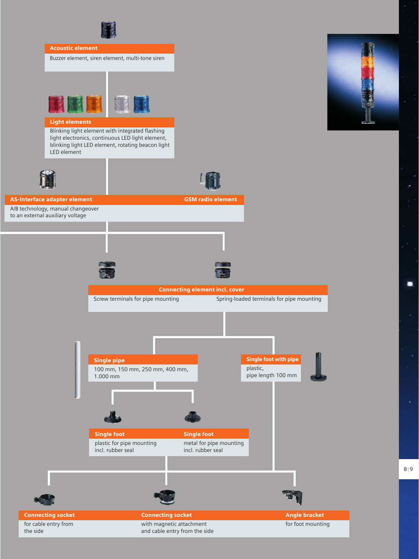



8 | 9

 $\bullet$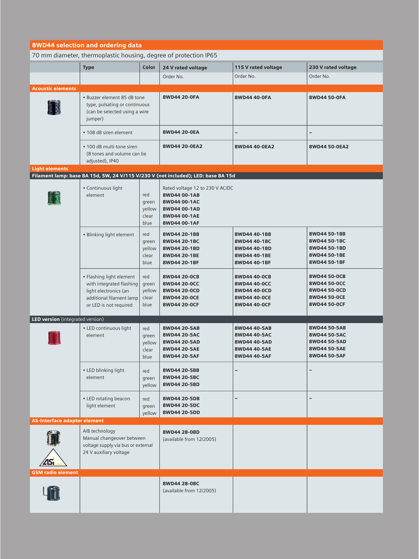| 8WD44 selection and ordering data   |                                                                                                                                     |                                         |                                                                                                                 |                                                                              |                                                                              |
|-------------------------------------|-------------------------------------------------------------------------------------------------------------------------------------|-----------------------------------------|-----------------------------------------------------------------------------------------------------------------|------------------------------------------------------------------------------|------------------------------------------------------------------------------|
|                                     | 70 mm diameter, thermoplastic housing, degree of protection IP65                                                                    |                                         |                                                                                                                 |                                                                              |                                                                              |
|                                     | <b>Type</b>                                                                                                                         | Color                                   | 24 V rated voltage                                                                                              | 115 V rated voltage                                                          | 230 V rated voltage                                                          |
|                                     |                                                                                                                                     |                                         | Order No.                                                                                                       | Order No.                                                                    | Order No.                                                                    |
| <b>Acoustic elements</b>            |                                                                                                                                     |                                         |                                                                                                                 |                                                                              |                                                                              |
|                                     | • Buzzer element 85 dB tone<br>type, pulsating or continuous<br>(can be selected using a wire<br>jumper)                            |                                         | 8WD44 20-0FA                                                                                                    | 8WD44 40-0FA                                                                 | 8WD44 50-0FA                                                                 |
| • 108 dB siren element              |                                                                                                                                     |                                         | 8WD44 20-0EA                                                                                                    | -                                                                            | -                                                                            |
|                                     | • 100 dB multi-tone siren<br>(8 tones and volume can be<br>adjusted), IP40                                                          |                                         | 8WD44 20-0EA2                                                                                                   | 8WD44 40-0EA2                                                                | 8WD44 50-0EA2                                                                |
| <b>Light elements</b>               |                                                                                                                                     |                                         | Filament lamp: base BA 15d, 5W, 24 V/115 V/230 V (not included); LED: base BA 15d                               |                                                                              |                                                                              |
|                                     | · Continuous light<br>element                                                                                                       | red<br>green<br>yellow<br>clear<br>blue | Rated voltage 12 to 230 V AC/DC<br>8WD44 00-1AB<br>8WD44 00-1AC<br>8WD44 00-1AD<br>8WD44 00-1AE<br>8WD44 00-1AF |                                                                              |                                                                              |
|                                     | · Blinking light element                                                                                                            | red<br>green<br>yellow<br>clear<br>blue | 8WD44 20-1BB<br>8WD44 20-1BC<br>8WD44 20-1BD<br>8WD44 20-1BE<br>8WD44 20-1BF                                    | 8WD44 40-1BB<br>8WD44 40-1BC<br>8WD44 40-1BD<br>8WD44 40-1BE<br>8WD44 40-1BF | 8WD44 50-1BB<br>8WD44 50-1BC<br>8WD44 50-1BD<br>8WD44 50-1BE<br>8WD44 50-1BF |
|                                     | • Flashing light element<br>with integrated flashing<br>light electronics (an<br>additional filament lamp<br>or LED is not required | red<br>green<br>yellow<br>clear<br>blue | 8WD44 20-0CB<br>8WD44 20-0CC<br>8WD44 20-0CD<br>8WD44 20-0CE<br>8WD44 20-0CF                                    | 8WD44 40-0CB<br>8WD44 40-0CC<br>8WD44 40-0CD<br>8WD44 40-0CE<br>8WD44 40-0CF | 8WD44 50-0CB<br>8WD44 50-0CC<br>8WD44 50-0CD<br>8WD44 50-0CE<br>8WD44 50-0CF |
| LED version (integrated version)    |                                                                                                                                     |                                         |                                                                                                                 |                                                                              |                                                                              |
|                                     | • LED continuous light<br>element                                                                                                   | red<br>green<br>yellow<br>clear<br>blue | 8WD44 20-5AB<br>8WD44 20-5AC<br>8WD44 20-5AD<br>8WD44 20-5AE<br>8WD44 20-5AF                                    | 8WD44 40-5AB<br>8WD44 40-5AC<br>8WD44 40-5AD<br>8WD44 40-5AE<br>8WD44 40-5AF | 8WD44 50-5AB<br>8WD44 50-5AC<br>8WD44 50-5AD<br>8WD44 50-5AE<br>8WD44 50-5AF |
|                                     | • LED blinking light<br>element                                                                                                     | red<br>green<br>yellow                  | 8WD44 20-5BB<br>8WD44 20-5BC<br>8WD44 20-5BD                                                                    |                                                                              |                                                                              |
|                                     | • LED rotating beacon<br>light element                                                                                              | red<br>green<br>yellow                  | 8WD44 20-5DB<br>8WD44 20-5DC<br>8WD44 20-5DD                                                                    | -                                                                            | -                                                                            |
| <b>AS-Interface adapter element</b> |                                                                                                                                     |                                         |                                                                                                                 |                                                                              |                                                                              |
| 25.                                 | A/B technology<br>Manual changeover between<br>voltage supply via bus or external<br>24 V auxiliary voltage                         |                                         | 8WD44 28-0BD<br>(available from 12/2005)                                                                        |                                                                              |                                                                              |
| <b>GSM radio element</b>            |                                                                                                                                     |                                         |                                                                                                                 |                                                                              |                                                                              |
|                                     |                                                                                                                                     |                                         | 8WD44 28-0BC<br>(available from 12/2005)                                                                        |                                                                              |                                                                              |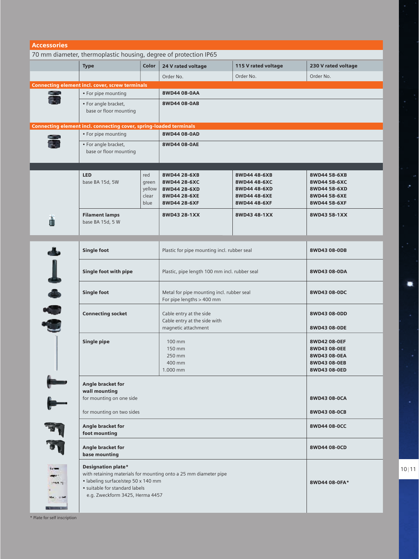| <b>Accessories</b>                                               |                                                                    |               |                                                                  |                              |                              |  |
|------------------------------------------------------------------|--------------------------------------------------------------------|---------------|------------------------------------------------------------------|------------------------------|------------------------------|--|
| 70 mm diameter, thermoplastic housing, degree of protection IP65 |                                                                    |               |                                                                  |                              |                              |  |
|                                                                  | <b>Type</b>                                                        | Color         | 24 V rated voltage                                               | 115 V rated voltage          | 230 V rated voltage          |  |
|                                                                  |                                                                    |               | Order No.                                                        | Order No.                    | Order No.                    |  |
|                                                                  | <b>Connecting element incl. cover, screw terminals</b>             |               |                                                                  |                              |                              |  |
|                                                                  | • For pipe mounting                                                |               | 8WD44 08-0AA                                                     |                              |                              |  |
| 籌                                                                | • For angle bracket,                                               |               | 8WD44 08-0AB                                                     |                              |                              |  |
|                                                                  | base or floor mounting                                             |               |                                                                  |                              |                              |  |
|                                                                  |                                                                    |               |                                                                  |                              |                              |  |
|                                                                  | Connecting element incl. connecting cover, spring-loaded terminals |               |                                                                  |                              |                              |  |
|                                                                  | • For pipe mounting                                                |               | 8WD44 08-0AD                                                     |                              |                              |  |
|                                                                  | • For angle bracket,                                               |               | 8WD44 08-0AE                                                     |                              |                              |  |
|                                                                  | base or floor mounting                                             |               |                                                                  |                              |                              |  |
|                                                                  |                                                                    |               |                                                                  |                              |                              |  |
|                                                                  | <b>LED</b>                                                         | red           | 8WD44 28-6XB                                                     | 8WD44 48-6XB                 | 8WD44 58-6XB                 |  |
|                                                                  | base BA 15d, 5W                                                    | green         | 8WD44 28-6XC                                                     | 8WD44 48-6XC                 | 8WD44 58-6XC                 |  |
|                                                                  |                                                                    | yellow        | 8WD44 28-6XD                                                     | 8WD44 48-6XD                 | 8WD44 58-6XD                 |  |
|                                                                  |                                                                    | clear<br>blue | 8WD44 28-6XE<br>8WD44 28-6XF                                     | 8WD44 48-6XE<br>8WD44 48-6XF | 8WD44 58-6XE<br>8WD44 58-6XF |  |
|                                                                  |                                                                    |               |                                                                  |                              |                              |  |
| ň                                                                | <b>Filament lamps</b><br>base BA 15d, 5 W                          |               | 8WD43 28-1XX                                                     | 8WD43 48-1XX                 | 8WD43 58-1XX                 |  |
|                                                                  |                                                                    |               |                                                                  |                              |                              |  |
|                                                                  |                                                                    |               |                                                                  |                              |                              |  |
|                                                                  | <b>Single foot</b>                                                 |               | Plastic for pipe mounting incl. rubber seal                      |                              | 8WD43 08-0DB                 |  |
|                                                                  |                                                                    |               |                                                                  |                              |                              |  |
|                                                                  |                                                                    |               |                                                                  |                              |                              |  |
|                                                                  | Single foot with pipe                                              |               | Plastic, pipe length 100 mm incl. rubber seal                    |                              | 8WD43 08-0DA                 |  |
| しゅゆう                                                             |                                                                    |               |                                                                  |                              |                              |  |
|                                                                  | <b>Single foot</b>                                                 |               | Metal for pipe mounting incl. rubber seal                        |                              | 8WD43 08-0DC                 |  |
|                                                                  |                                                                    |               | For pipe lengths > 400 mm                                        |                              |                              |  |
|                                                                  | <b>Connecting socket</b>                                           |               | Cable entry at the side                                          |                              | 8WD43 08-0DD                 |  |
|                                                                  |                                                                    |               | Cable entry at the side with                                     |                              |                              |  |
|                                                                  |                                                                    |               | magnetic attachment                                              |                              | 8WD43 08-0DE                 |  |
|                                                                  | <b>Single pipe</b>                                                 |               | 100 mm                                                           |                              | 8WD42 08-0EF                 |  |
|                                                                  |                                                                    |               | 150 mm                                                           |                              | 8WD43 08-0EE                 |  |
|                                                                  |                                                                    |               | 250 mm<br>400 mm                                                 |                              | 8WD43 08-0EA                 |  |
|                                                                  |                                                                    |               |                                                                  |                              | 8WD43 08-0EB                 |  |
|                                                                  |                                                                    |               | 1.000 mm                                                         |                              | 8WD43 08-0ED                 |  |
|                                                                  | Angle bracket for                                                  |               |                                                                  |                              |                              |  |
|                                                                  | wall mounting                                                      |               |                                                                  |                              |                              |  |
|                                                                  | for mounting on one side                                           |               |                                                                  |                              | 8WD43 08-0CA                 |  |
|                                                                  | for mounting on two sides                                          |               |                                                                  |                              | 8WD43 08-0CB                 |  |
|                                                                  | Angle bracket for<br>foot mounting                                 |               |                                                                  |                              | 8WD44 08-0CC                 |  |
|                                                                  |                                                                    |               |                                                                  |                              |                              |  |
|                                                                  | <b>Angle bracket for</b><br>base mounting                          |               |                                                                  | 8WD44 08-0CD                 |                              |  |
|                                                                  | <b>Designation plate*</b>                                          |               |                                                                  |                              |                              |  |
|                                                                  |                                                                    |               | with retaining materials for mounting onto a 25 mm diameter pipe |                              |                              |  |
| <b>Mark 12</b>                                                   | • labeling surface/step 50 x 140 mm                                |               |                                                                  |                              | 8WD44 08-0FA*                |  |
|                                                                  | · suitable for standard labels                                     |               |                                                                  |                              |                              |  |
|                                                                  | e.g. Zweckform 3425, Herma 4457                                    |               |                                                                  |                              |                              |  |
|                                                                  |                                                                    |               |                                                                  |                              |                              |  |

\* Plate for self inscription

 $\bullet$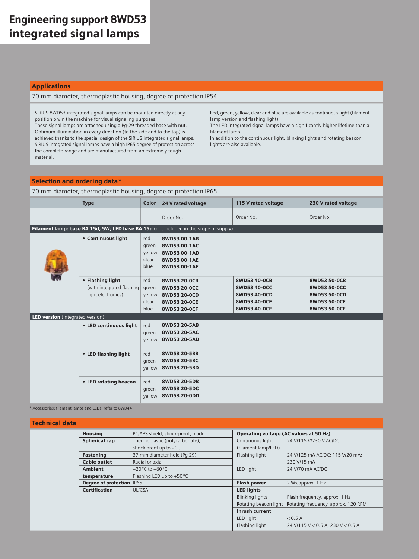#### Applications

#### 70 mm diameter, thermoplastic housing, degree of protection IP54

SIRIUS 8WD53 integrated signal lamps can be mounted directly at any position on/in the machine for visual signaling purposes. These signal lamps are attached using a Pg-29 threaded base with nut. Optimum illumination in every direction (to the side and to the top) is achieved thanks to the special design of the SIRIUS integrated signal lamps. SIRIUS integrated signal lamps have a high IP65 degree of protection across the complete range and are manufactured from an extremely tough material.

Red, green, yellow, clear and blue are available as continuous light (filament lamp version and flashing light).

The LED integrated signal lamps have a significantly higher lifetime than a filament lamp.

In addition to the continuous light, blinking lights and rotating beacon lights are also available.

#### Selection and ordering data\*

70 mm diameter, thermoplastic housing, degree of protection IP65

|                                  | <b>Type</b>                                                         | Color                                   | 24 V rated voltage                                                                    | 115 V rated voltage                                                          | 230 V rated voltage                                                          |
|----------------------------------|---------------------------------------------------------------------|-----------------------------------------|---------------------------------------------------------------------------------------|------------------------------------------------------------------------------|------------------------------------------------------------------------------|
|                                  |                                                                     |                                         | Order No.                                                                             | Order No.                                                                    | Order No.                                                                    |
|                                  |                                                                     |                                         | Filament lamp: base BA 15d, 5W; LED base BA 15d (not included in the scope of supply) |                                                                              |                                                                              |
|                                  | • Continuous light                                                  | red<br>green<br>yellow<br>clear<br>blue | 8WD53 00-1AB<br>8WD53 00-1AC<br>8WD53 00-1AD<br>8WD53 00-1AE<br>8WD53 00-1AF          |                                                                              |                                                                              |
|                                  | • Flashing light<br>(with integrated flashing<br>light electronics) | red<br>green<br>yellow<br>clear<br>blue | 8WD53 20-0CB<br>8WD53 20-0CC<br>8WD53 20-0CD<br>8WD53 20-0CE<br>8WD53 20-0CF          | 8WD53 40-0CB<br>8WD53 40-0CC<br>8WD53 40-0CD<br>8WD53 40-0CE<br>8WD53 40-0CF | 8WD53 50-0CB<br>8WD53 50-0CC<br>8WD53 50-0CD<br>8WD53 50-0CE<br>8WD53 50-0CF |
| LED version (integrated version) |                                                                     |                                         |                                                                                       |                                                                              |                                                                              |
|                                  | • LED continuous light                                              | red<br>green<br>yellow                  | 8WD53 20-5AB<br>8WD53 20-5AC<br>8WD53 20-5AD                                          |                                                                              |                                                                              |
|                                  | • LED flashing light                                                | red<br>green<br>yellow                  | 8WD53 20-5BB<br>8WD53 20-5BC<br>8WD53 20-5BD                                          |                                                                              |                                                                              |
|                                  | • LED rotating beacon                                               | red<br>green<br>yellow                  | 8WD53 20-5DB<br>8WD53 20-5DC<br>8WD53 20-0DD                                          |                                                                              |                                                                              |

\* Accessories: filament lamps and LEDs, refer to 8WD44

#### Technical data

| . |                           |                                    |                                        |                                     |
|---|---------------------------|------------------------------------|----------------------------------------|-------------------------------------|
|   | <b>Housing</b>            | PC/ABS shield, shock-proof, black  | Operating voltage (AC values at 50 Hz) |                                     |
|   | <b>Spherical cap</b>      | Thermoplastic (polycarbonate),     | Continuous light                       | 24 V/115 V/230 V AC/DC              |
|   |                           | shock-proof up to 20 J             | (filament lamp/LED)                    |                                     |
|   | <b>Fastening</b>          | 37 mm diameter hole (Pq 29)        | Flashing light                         | 24 V/125 mA AC/DC; 115 V/20 mA;     |
|   | <b>Cable outlet</b>       | Radial or axial                    |                                        | 230 V/15 mA                         |
|   | <b>Ambient</b>            | $-20^{\circ}$ C to $+60^{\circ}$ C | LED light                              | 24 V/70 mA AC/DC                    |
|   | temperature               | Flashing LED up to $+50^{\circ}$ C |                                        |                                     |
|   | Degree of protection IP65 |                                    | <b>Flash power</b>                     | 2 Ws/approx. 1 Hz                   |
|   | <b>Certification</b>      | <b>ULICSA</b>                      | <b>LED lights</b>                      |                                     |
|   |                           |                                    | <b>Blinking lights</b>                 | Flash frequency, approx. 1 Hz       |
|   |                           |                                    | Rotating beacon light                  | Rotating frequency, approx. 120 RPM |
|   |                           |                                    | Inrush current                         |                                     |
|   |                           |                                    | LED light                              | < 0.5 A                             |
|   |                           |                                    | Flashing light                         | 24 V/115 V < 0.5 A; 230 V < 0.5 A   |
|   |                           |                                    |                                        |                                     |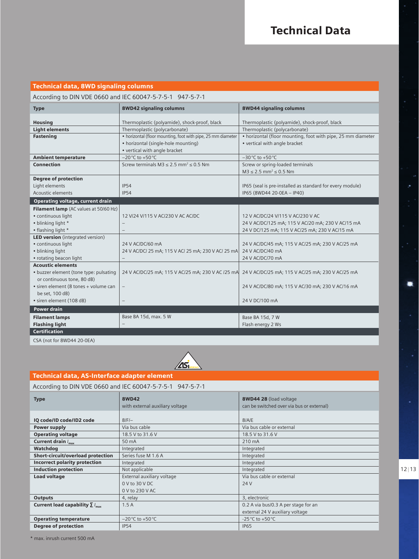#### Technical data, 8WD signaling columns

#### According to DIN VDE 0660 and IEC 60047-5-7-5-1 947-5-7-1

| <b>Type</b>                             | <b>8WD42 signaling columns</b>                               | 8WD44 signaling columns                                      |
|-----------------------------------------|--------------------------------------------------------------|--------------------------------------------------------------|
| <b>Housing</b>                          | Thermoplastic (polyamide), shock-proof, black                | Thermoplastic (polyamide), shock-proof, black                |
| <b>Light elements</b>                   | Thermoplastic (polycarbonate)                                | Thermoplastic (polycarbonate)                                |
| <b>Fastening</b>                        | • horizontal (floor mounting, foot with pipe, 25 mm diameter | • horizontal (floor mounting, foot with pipe, 25 mm diameter |
|                                         | • horizontal (single-hole mounting)                          | • vertical with angle bracket                                |
|                                         | • vertical with angle bracket                                |                                                              |
| <b>Ambient temperature</b>              | $-20^{\circ}$ C to $+50^{\circ}$ C                           | $-30^{\circ}$ C to $+50^{\circ}$ C                           |
| <b>Connection</b>                       | Screw terminals $M3 \le 2.5$ mm <sup>2</sup> $\le 0.5$ Nm    | Screw or spring-loaded terminals                             |
|                                         |                                                              | $M3 \le 2.5$ mm <sup>2</sup> $\le 0.5$ Nm                    |
| <b>Degree of protection</b>             |                                                              |                                                              |
| Light elements                          | <b>IP54</b>                                                  | IP65 (seal is pre-installed as standard for every module)    |
| Acoustic elements                       | IP54                                                         | IP65 (8WD44 20-0EA - IP40)                                   |
| Operating voltage, current drain        |                                                              |                                                              |
| Filament lamp (AC values at 50/60 Hz)   |                                                              |                                                              |
| · continuous light                      | 12 V/24 V/115 V AC/230 V AC AC/DC                            | 12 V AC/DC/24 V/115 V AC/230 V AC                            |
| • blinking light *                      |                                                              | 24 V AC/DC/125 mA; 115 V AC/20 mA; 230 V AC/15 mA            |
| • flashing light *                      | $\qquad \qquad -$                                            | 24 V DC/125 mA; 115 V AC/25 mA; 230 V AC/15 mA               |
| <b>LED version</b> (integrated version) |                                                              |                                                              |
| · continuous light                      | 24 V AC/DC/60 mA                                             | 24 V AC/DC/45 mA; 115 V AC/25 mA; 230 V AC/25 mA             |
| • blinking light                        | 24 V AC/DC/ 25 mA; 115 V AC/ 25 mA; 230 V AC/ 25 mA          | 24 V AC/DC/40 mA                                             |
| • rotating beacon light                 | -                                                            | 24 V AC/DC/70 mA                                             |
| <b>Acoustic elements</b>                |                                                              |                                                              |
| • buzzer element (tone type: pulsating  | 24 V AC/DC/25 mA; 115 V AC/25 mA; 230 V AC /25 mA            | 24 V AC/DC/25 mA; 115 V AC/25 mA; 230 V AC/25 mA             |
| or continuous tone, 80 dB)              |                                                              |                                                              |
| • siren element (8 tones + volume can   | $\overline{\phantom{a}}$                                     | 24 V AC/DC/80 mA; 115 V AC/30 mA; 230 V AC/16 mA             |
| be set, 100 dB)                         |                                                              |                                                              |
| · siren element (108 dB)                | $\overline{\phantom{a}}$                                     | 24 V DC/100 mA                                               |
| <b>Power drain</b>                      |                                                              |                                                              |
| <b>Filament lamps</b>                   | Base BA 15d, max. 5 W                                        | Base BA 15d, 7 W                                             |
| <b>Flashing light</b>                   |                                                              | Flash energy 2 Ws                                            |
| <b>Certification</b>                    |                                                              |                                                              |

CSA (not for 8WD44 20-0EA)



#### Technical data, AS-Interface adapter element According to DIN VDE 0660 and IEC 60047-5-7-5-1 947-5-7-1 Type IQ code/ID code/ID2 code 8WD42 with external auxiliary voltage 8/F/– 8WD44 28 (load voltage  $\overline{a}$  be switched over via bus 8/A/E

|                                                 | with criterium auxiliary voitage   | carried by received over you bab or extermally |
|-------------------------------------------------|------------------------------------|------------------------------------------------|
|                                                 |                                    |                                                |
| IQ code/ID code/ID2 code                        | $8$ $F$ $-$                        | 8/A/E                                          |
| Power supply                                    | Via bus cable                      | Via bus cable or external                      |
| <b>Operating voltage</b>                        | 18.5 V to 31.6 V                   | 18.5 V to 31.6 V                               |
| Current drain $I_{\text{max}}$                  | 50 mA                              | 210 mA                                         |
| Watchdog                                        | Integrated                         | Integrated                                     |
| <b>Short-circuit/overload protection</b>        | Series fuse M 1.6 A                | Integrated                                     |
| <b>Incorrect polarity protection</b>            | Integrated                         | Integrated                                     |
| <b>Induction protection</b>                     | Not applicable                     | Integrated                                     |
| <b>Load voltage</b>                             | External auxiliary voltage         | Via bus cable or external                      |
|                                                 | $0 \vee$ to 30 $\vee$ DC           | 24 V                                           |
|                                                 | 0 V to 230 V AC                    |                                                |
| <b>Outputs</b>                                  | 4, relay                           | 3, electronic                                  |
| Current load capability $\Sigma I_{\text{max}}$ | 1.5A                               | 0.2 A via bus/0.3 A per stage for an           |
|                                                 |                                    | external 24 V auxiliary voltage                |
| <b>Operating temperature</b>                    | $-20^{\circ}$ C to $+50^{\circ}$ C | -25 °C to +50 °C                               |
| <b>Degree of protection</b>                     | IP54                               | <b>IP65</b>                                    |

 $12 | 13$ 

 $\blacksquare$ 

\* max. inrush current 500 mA